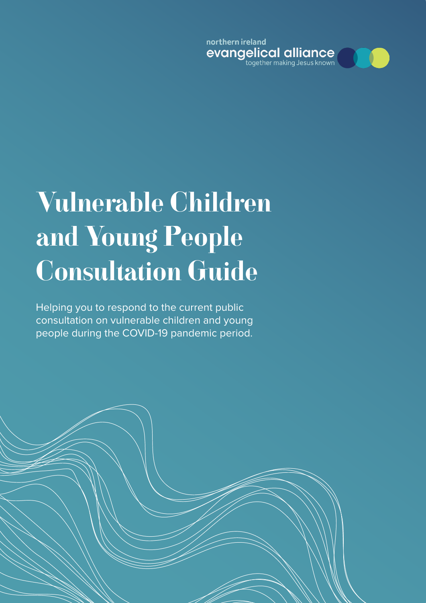northern ireland evangelical alliance



# Vulnerable Children and Young People Consultation Guide

Helping you to respond to the current public consultation on vulnerable children and young people during the COVID-19 pandemic period.

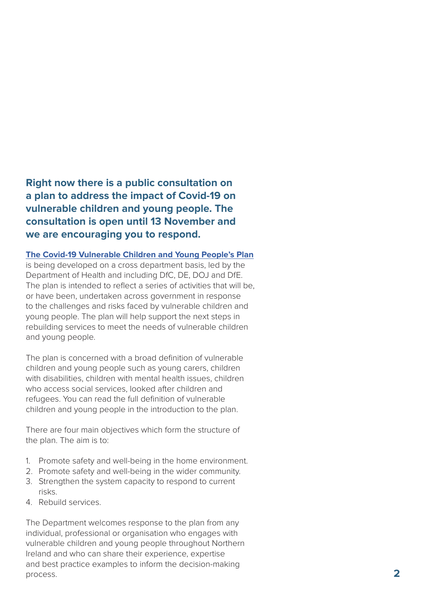**Right now there is a public consultation on a plan to address the impact of Covid-19 on vulnerable children and young people. The consultation is open until 13 November and we are encouraging you to respond.**

#### **[The Covid-19 Vulnerable Children and Young People's Plan](https://www.health-ni.gov.uk/sites/default/files/consultations/health/Cross-Departmental-Actions-for-Vulnerable-Children-and-September-2020.pdf)**

is being developed on a cross department basis, led by the Department of Health and including DfC, DE, DOJ and DfE. The plan is intended to reflect a series of activities that will be, or have been, undertaken across government in response to the challenges and risks faced by vulnerable children and young people. The plan will help support the next steps in rebuilding services to meet the needs of vulnerable children and young people.

The plan is concerned with a broad definition of vulnerable children and young people such as young carers, children with disabilities, children with mental health issues, children who access social services, looked after children and refugees. You can read the full definition of vulnerable children and young people in the introduction to the plan.

There are four main objectives which form the structure of the plan. The aim is to:

- 1. Promote safety and well-being in the home environment.
- 2. Promote safety and well-being in the wider community.
- 3. Strengthen the system capacity to respond to current risks.
- 4. Rebuild services.

The Department welcomes response to the plan from any individual, professional or organisation who engages with vulnerable children and young people throughout Northern Ireland and who can share their experience, expertise and best practice examples to inform the decision-making process. **2**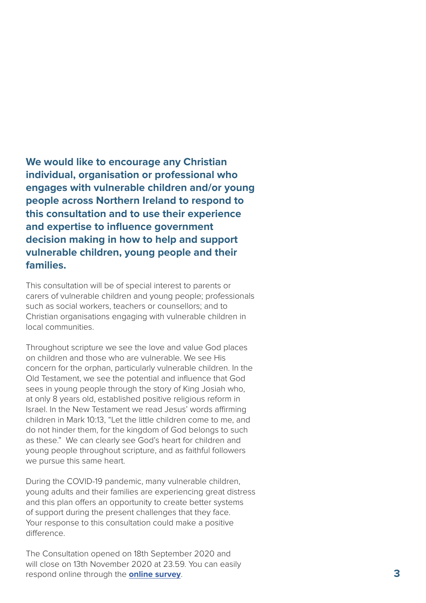**We would like to encourage any Christian individual, organisation or professional who engages with vulnerable children and/or young people across Northern Ireland to respond to this consultation and to use their experience and expertise to influence government decision making in how to help and support vulnerable children, young people and their families.**

This consultation will be of special interest to parents or carers of vulnerable children and young people; professionals such as social workers, teachers or counsellors; and to Christian organisations engaging with vulnerable children in local communities.

Throughout scripture we see the love and value God places on children and those who are vulnerable. We see His concern for the orphan, particularly vulnerable children. In the Old Testament, we see the potential and influence that God sees in young people through the story of King Josiah who, at only 8 years old, established positive religious reform in Israel. In the New Testament we read Jesus' words affirming children in Mark 10:13, "Let the little children come to me, and do not hinder them, for the kingdom of God belongs to such as these." We can clearly see God's heart for children and young people throughout scripture, and as faithful followers we pursue this same heart.

During the COVID-19 pandemic, many vulnerable children, young adults and their families are experiencing great distress and this plan offers an opportunity to create better systems of support during the present challenges that they face. Your response to this consultation could make a positive difference.

The Consultation opened on 18th September 2020 and will close on 13th November 2020 at 23.59. You can easily respond online through the **[online survey](https://consultations.nidirect.gov.uk/doh-1/covid-19-vulnerable-children-young-peoples-plan/consultation/intro/)** .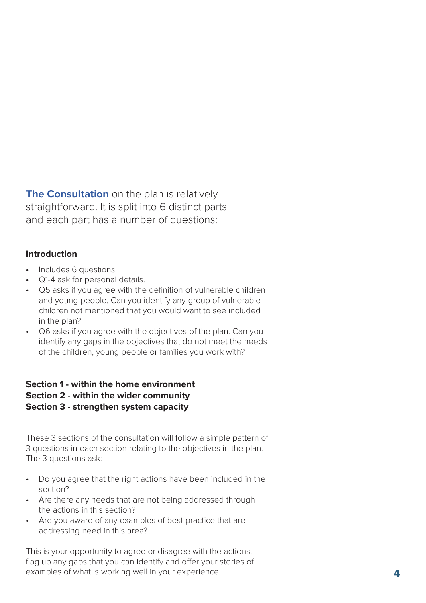**[The Consultation](https://www.health-ni.gov.uk/consultations/consultation-cross-departmental-covid-19-vulnerable-children-and-young-peoples-plan)** on the plan is relatively straightforward. It is split into 6 distinct parts and each part has a number of questions:

## **Introduction**

- Includes 6 questions.
- Q1-4 ask for personal details.
- Q5 asks if you agree with the definition of vulnerable children and young people. Can you identify any group of vulnerable children not mentioned that you would want to see included in the plan?
- Q6 asks if you agree with the objectives of the plan. Can you identify any gaps in the objectives that do not meet the needs of the children, young people or families you work with?

## **Section 1 - within the home environment Section 2 - within the wider community Section 3 - strengthen system capacity**

These 3 sections of the consultation will follow a simple pattern of 3 questions in each section relating to the objectives in the plan. The 3 questions ask:

- Do you agree that the right actions have been included in the section?
- Are there any needs that are not being addressed through the actions in this section?
- Are you aware of any examples of best practice that are addressing need in this area?

This is your opportunity to agree or disagree with the actions, flag up any gaps that you can identify and offer your stories of examples of what is working well in your experience. **4**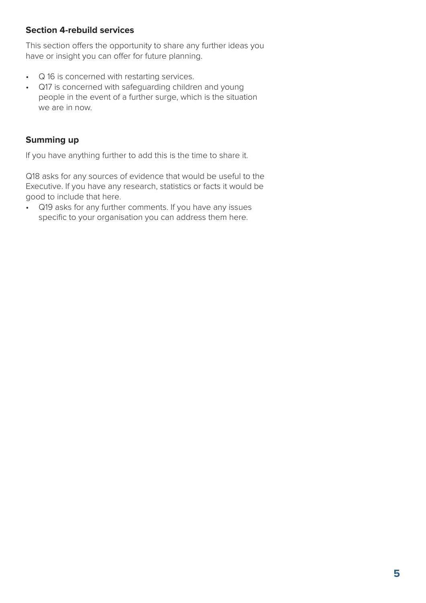# **Section 4-rebuild services**

This section offers the opportunity to share any further ideas you have or insight you can offer for future planning.

- Q 16 is concerned with restarting services.
- Q17 is concerned with safeguarding children and young people in the event of a further surge, which is the situation we are in now.

# **Summing up**

If you have anything further to add this is the time to share it.

Q18 asks for any sources of evidence that would be useful to the Executive. If you have any research, statistics or facts it would be good to include that here.

• Q19 asks for any further comments. If you have any issues specific to your organisation you can address them here.